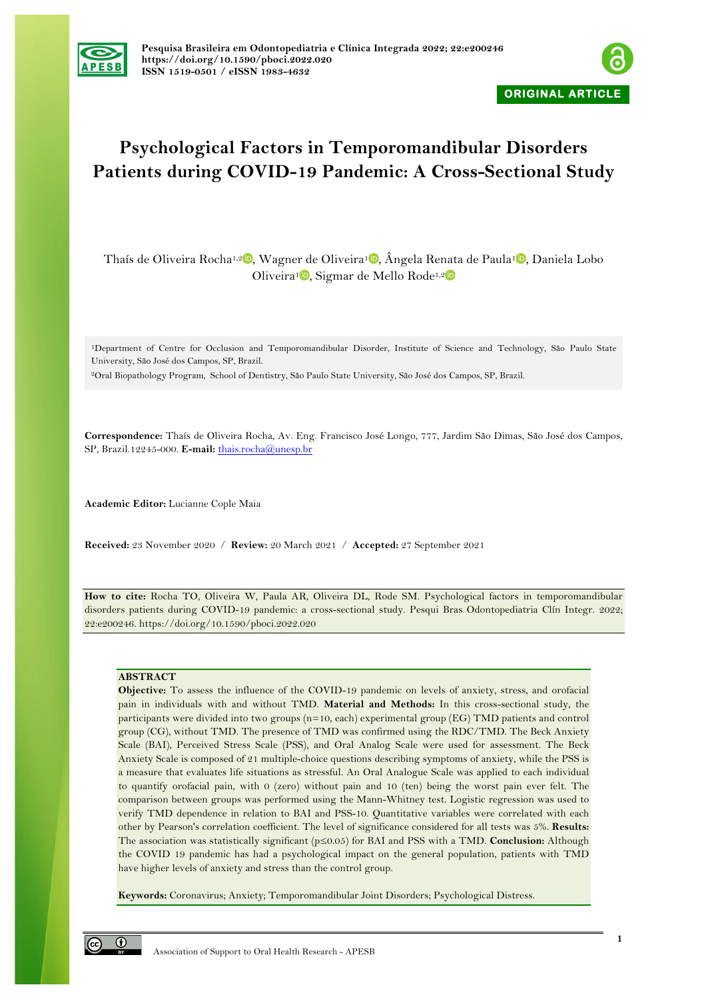



# **Psychological Factors in Temporomandibular Disorders Patients during COVID-19 Pandemic: A Cross-Sectional Study**

Thaís de Oliveira Rocha<sup>1,[2](https://orcid.org/0000-0001-7665-5087)</sup> [,](https://orcid.org/0000-0002-7129-6211) Wagner de Oliveira<sup>1</sup> , Ângela Renata de Paula<sup>1</sup> , Daniela Lobo Oliveira<sup>[1](https://orcid.org/0000-0001-7340-2834)</sup>, Sigmar de Mello Rode<sup>1,2</sup>

1Department of Centre for Occlusion and Temporomandibular Disorder, Institute of Science and Technology, São Paulo State University, São José dos Campos, SP, Brazil.

2Oral Biopathology Program, School of Dentistry, São Paulo State University, São José dos Campos, SP, Brazil.

**Correspondence:** Thaís de Oliveira Rocha, Av. Eng. Francisco José Longo, 777, Jardim São Dimas, São José dos Campos, SP, Brazil.12245-000. **E-mail:** thais.rocha@unesp.br

**Academic Editor:** Lucianne Cople Maia

**Received:** 23 November 2020 / **Review:** 20 March 2021 / **Accepted:** 27 September 2021

**How to cite:** Rocha TO, Oliveira W, Paula AR, Oliveira DL, Rode SM. Psychological factors in temporomandibular disorders patients during COVID-19 pandemic: a cross-sectional study. Pesqui Bras Odontopediatria Clín Integr. 2022; 22:e200246. https://doi.org/10.1590/pboci.2022.020

#### **ABSTRACT**

**Objective:** To assess the influence of the COVID-19 pandemic on levels of anxiety, stress, and orofacial pain in individuals with and without TMD. **Material and Methods:** In this cross-sectional study, the participants were divided into two groups (n=10, each) experimental group (EG) TMD patients and control group (CG), without TMD. The presence of TMD was confirmed using the RDC/TMD. The Beck Anxiety Scale (BAI), Perceived Stress Scale (PSS), and Oral Analog Scale were used for assessment. The Beck Anxiety Scale is composed of 21 multiple-choice questions describing symptoms of anxiety, while the PSS is a measure that evaluates life situations as stressful. An Oral Analogue Scale was applied to each individual to quantify orofacial pain, with 0 (zero) without pain and 10 (ten) being the worst pain ever felt. The comparison between groups was performed using the Mann-Whitney test. Logistic regression was used to verify TMD dependence in relation to BAI and PSS-10. Quantitative variables were correlated with each other by Pearson's correlation coefficient. The level of significance considered for all tests was 5%. **Results:** The association was statistically significant (p≤0.05) for BAI and PSS with a TMD. **Conclusion:** Although the COVID 19 pandemic has had a psychological impact on the general population, patients with TMD have higher levels of anxiety and stress than the control group.

**Keywords:** Coronavirus; Anxiety; Temporomandibular Joint Disorders; Psychological Distress.

 $\odot$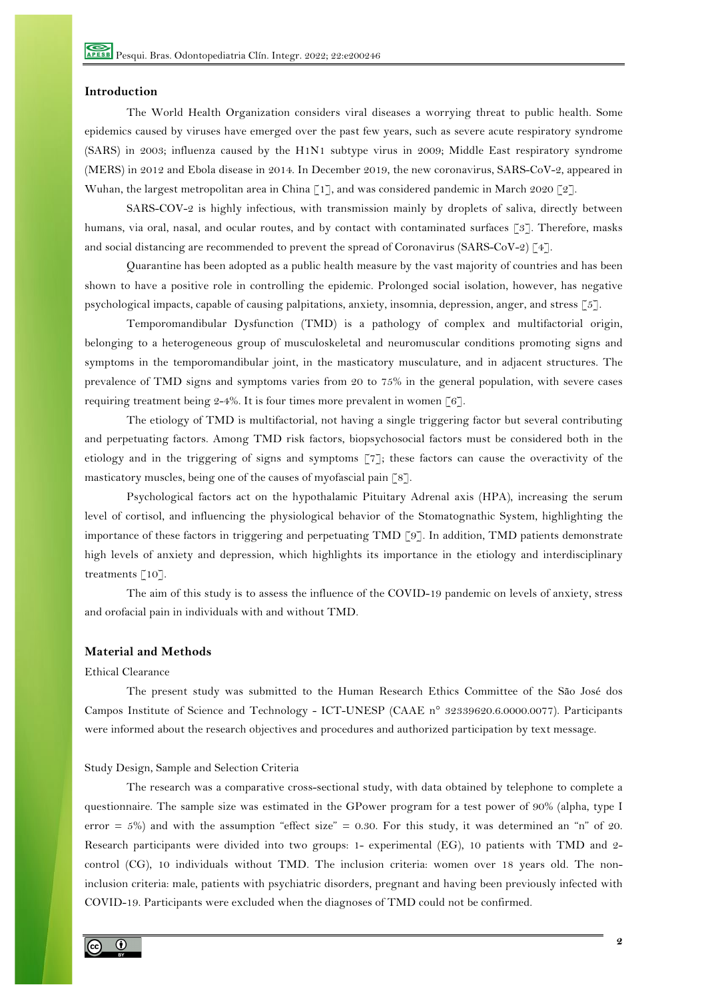## **Introduction**

The World Health Organization considers viral diseases a worrying threat to public health. Some epidemics caused by viruses have emerged over the past few years, such as severe acute respiratory syndrome (SARS) in 2003; influenza caused by the H1N1 subtype virus in 2009; Middle East respiratory syndrome (MERS) in 2012 and Ebola disease in 2014. In December 2019, the new coronavirus, SARS-CoV-2, appeared in Wuhan, the largest metropolitan area in China  $\lceil 1 \rceil$ , and was considered pandemic in March 2020  $\lceil 2 \rceil$ .

SARS-COV-2 is highly infectious, with transmission mainly by droplets of saliva, directly between humans, via oral, nasal, and ocular routes, and by contact with contaminated surfaces [3]. Therefore, masks and social distancing are recommended to prevent the spread of Coronavirus (SARS-CoV-2) [4].

Quarantine has been adopted as a public health measure by the vast majority of countries and has been shown to have a positive role in controlling the epidemic. Prolonged social isolation, however, has negative psychological impacts, capable of causing palpitations, anxiety, insomnia, depression, anger, and stress [5].

Temporomandibular Dysfunction (TMD) is a pathology of complex and multifactorial origin, belonging to a heterogeneous group of musculoskeletal and neuromuscular conditions promoting signs and symptoms in the temporomandibular joint, in the masticatory musculature, and in adjacent structures. The prevalence of TMD signs and symptoms varies from 20 to 75% in the general population, with severe cases requiring treatment being 2-4%. It is four times more prevalent in women [6].

The etiology of TMD is multifactorial, not having a single triggering factor but several contributing and perpetuating factors. Among TMD risk factors, biopsychosocial factors must be considered both in the etiology and in the triggering of signs and symptoms [7]; these factors can cause the overactivity of the masticatory muscles, being one of the causes of myofascial pain [8].

Psychological factors act on the hypothalamic Pituitary Adrenal axis (HPA), increasing the serum level of cortisol, and influencing the physiological behavior of the Stomatognathic System, highlighting the importance of these factors in triggering and perpetuating TMD [9]. In addition, TMD patients demonstrate high levels of anxiety and depression, which highlights its importance in the etiology and interdisciplinary treatments [10].

The aim of this study is to assess the influence of the COVID-19 pandemic on levels of anxiety, stress and orofacial pain in individuals with and without TMD.

## **Material and Methods**

### Ethical Clearance

The present study was submitted to the Human Research Ethics Committee of the São José dos Campos Institute of Science and Technology - ICT-UNESP (CAAE n° 32339620.6.0000.0077). Participants were informed about the research objectives and procedures and authorized participation by text message.

Study Design, Sample and Selection Criteria

The research was a comparative cross-sectional study, with data obtained by telephone to complete a questionnaire. The sample size was estimated in the GPower program for a test power of 90% (alpha, type I error  $= 5\%$ ) and with the assumption "effect size"  $= 0.30$ . For this study, it was determined an "n" of 20. Research participants were divided into two groups: 1- experimental (EG), 10 patients with TMD and 2 control (CG), 10 individuals without TMD. The inclusion criteria: women over 18 years old. The noninclusion criteria: male, patients with psychiatric disorders, pregnant and having been previously infected with COVID-19. Participants were excluded when the diagnoses of TMD could not be confirmed.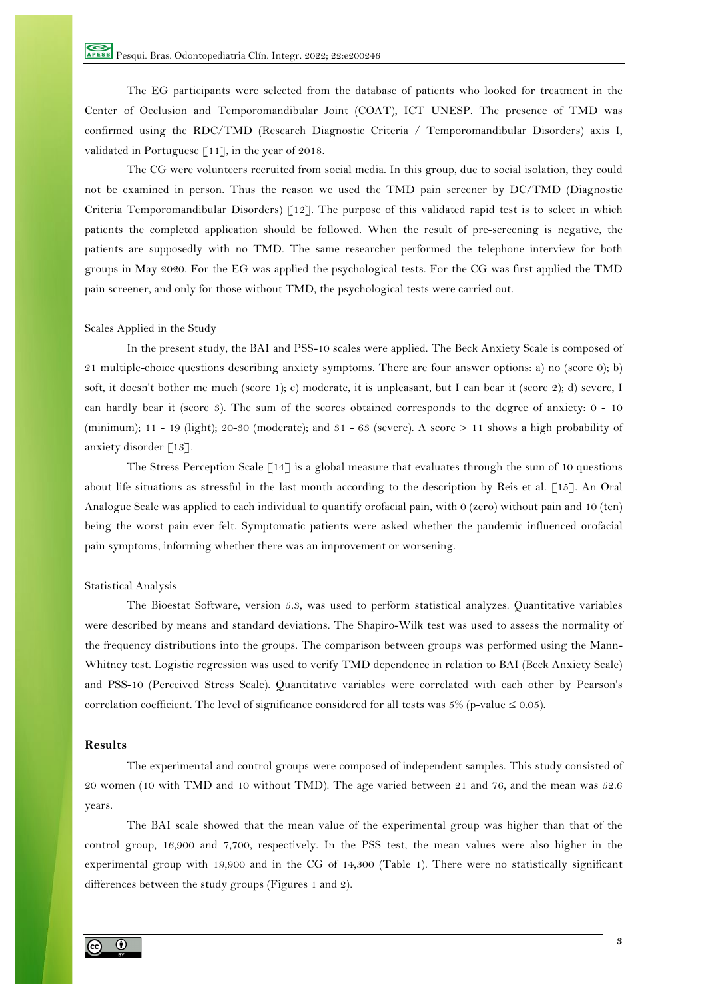The EG participants were selected from the database of patients who looked for treatment in the Center of Occlusion and Temporomandibular Joint (COAT), ICT UNESP. The presence of TMD was confirmed using the RDC/TMD (Research Diagnostic Criteria / Temporomandibular Disorders) axis I, validated in Portuguese  $\lceil 11 \rceil$ , in the year of 2018.

The CG were volunteers recruited from social media. In this group, due to social isolation, they could not be examined in person. Thus the reason we used the TMD pain screener by DC/TMD (Diagnostic Criteria Temporomandibular Disorders)  $\lceil 12 \rceil$ . The purpose of this validated rapid test is to select in which patients the completed application should be followed. When the result of pre-screening is negative, the patients are supposedly with no TMD. The same researcher performed the telephone interview for both groups in May 2020. For the EG was applied the psychological tests. For the CG was first applied the TMD pain screener, and only for those without TMD, the psychological tests were carried out.

#### Scales Applied in the Study

In the present study, the BAI and PSS-10 scales were applied. The Beck Anxiety Scale is composed of 21 multiple-choice questions describing anxiety symptoms. There are four answer options: a) no (score 0); b) soft, it doesn't bother me much (score 1); c) moderate, it is unpleasant, but I can bear it (score 2); d) severe, I can hardly bear it (score 3). The sum of the scores obtained corresponds to the degree of anxiety: 0 - 10 (minimum); 11 - 19 (light); 20-30 (moderate); and 31 - 63 (severe). A score > 11 shows a high probability of anxiety disorder [13].

The Stress Perception Scale  $\lceil 14 \rceil$  is a global measure that evaluates through the sum of 10 questions about life situations as stressful in the last month according to the description by Reis et al. [15]. An Oral Analogue Scale was applied to each individual to quantify orofacial pain, with 0 (zero) without pain and 10 (ten) being the worst pain ever felt. Symptomatic patients were asked whether the pandemic influenced orofacial pain symptoms, informing whether there was an improvement or worsening.

#### Statistical Analysis

The Bioestat Software, version 5.3, was used to perform statistical analyzes. Quantitative variables were described by means and standard deviations. The Shapiro-Wilk test was used to assess the normality of the frequency distributions into the groups. The comparison between groups was performed using the Mann-Whitney test. Logistic regression was used to verify TMD dependence in relation to BAI (Beck Anxiety Scale) and PSS-10 (Perceived Stress Scale). Quantitative variables were correlated with each other by Pearson's correlation coefficient. The level of significance considered for all tests was 5% (p-value  $\leq 0.05$ ).

#### **Results**

The experimental and control groups were composed of independent samples. This study consisted of 20 women (10 with TMD and 10 without TMD). The age varied between 21 and 76, and the mean was 52.6 years.

The BAI scale showed that the mean value of the experimental group was higher than that of the control group, 16,900 and 7,700, respectively. In the PSS test, the mean values were also higher in the experimental group with 19,900 and in the CG of 14,300 (Table 1). There were no statistically significant differences between the study groups (Figures 1 and 2).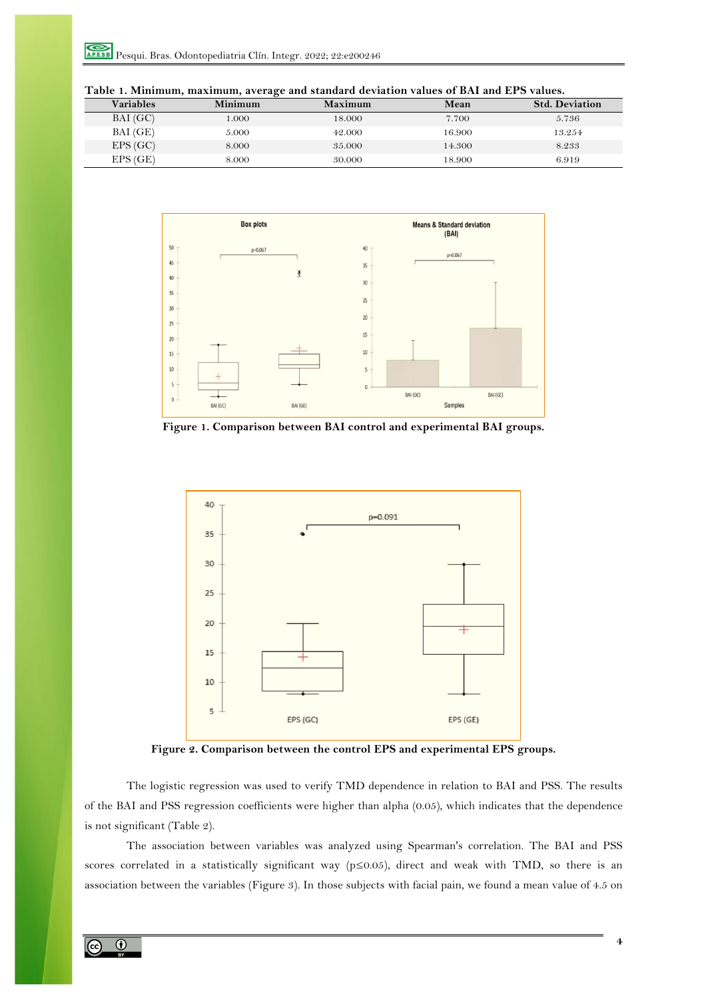| <b>Variables</b> | Minimum | Maximum | Mean   | <b>Std. Deviation</b> |
|------------------|---------|---------|--------|-----------------------|
| BAI(GC)          | 1.000   | 18.000  | 7.700  | 5.736                 |
| BAI (GE)         | 5.000   | 42.000  | 16.900 | 13.254                |
| EPS(GC)          | 8.000   | 35.000  | 14.300 | 8.233                 |
| EPS(GE)          | 8.000   | 30.000  | 18.900 | 6.919                 |



**Figure 1. Comparison between BAI control and experimental BAI groups.**



**Figure 2. Comparison between the control EPS and experimental EPS groups.**

The logistic regression was used to verify TMD dependence in relation to BAI and PSS. The results of the BAI and PSS regression coefficients were higher than alpha (0.05), which indicates that the dependence is not significant (Table 2).

The association between variables was analyzed using Spearman's correlation. The BAI and PSS scores correlated in a statistically significant way (p≤0.05), direct and weak with TMD, so there is an association between the variables (Figure 3). In those subjects with facial pain, we found a mean value of 4.5 on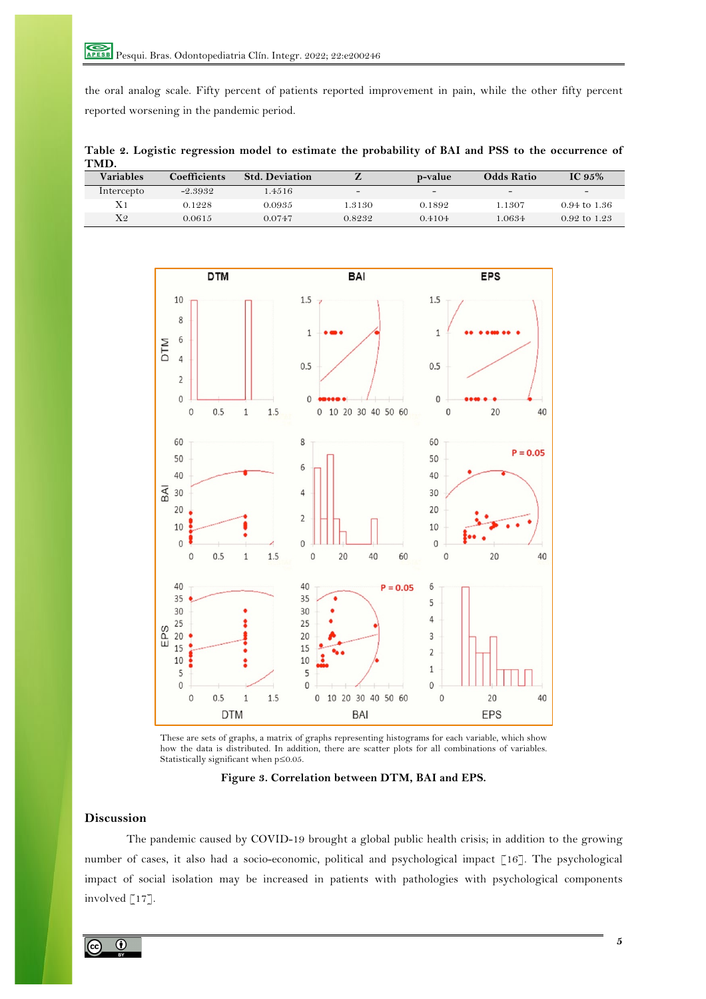the oral analog scale. Fifty percent of patients reported improvement in pain, while the other fifty percent reported worsening in the pandemic period.

**Table 2. Logistic regression model to estimate the probability of BAI and PSS to the occurrence of TMD.**

| <b>Variables</b> | <b>Coefficients</b> | <b>Std. Deviation</b> |        | p-value                  | <b>Odds Ratio</b> | IC $95%$                 |
|------------------|---------------------|-----------------------|--------|--------------------------|-------------------|--------------------------|
| Intercepto       | $-2.3932$           | 1.4516                | -      | $\overline{\phantom{0}}$ | $\sim$            | $\overline{\phantom{0}}$ |
| X <sub>1</sub>   | 0.1228              | 0.0935                | .3130  | 0.1892                   | 1.1307            | 0.94 to 1.36             |
| $X_2$            | 0.0615              | 0.0747                | 0.8232 | 0.4104                   | 1.0634            | 0.92 to 1.23             |



These are sets of graphs, a matrix of graphs representing histograms for each variable, which show how the data is distributed. In addition, there are scatter plots for all combinations of variables. Statistically significant when p≤0.05.

**Figure 3. Correlation between DTM, BAI and EPS.**

# **Discussion**

The pandemic caused by COVID-19 brought a global public health crisis; in addition to the growing number of cases, it also had a socio-economic, political and psychological impact [16]. The psychological impact of social isolation may be increased in patients with pathologies with psychological components involved [17].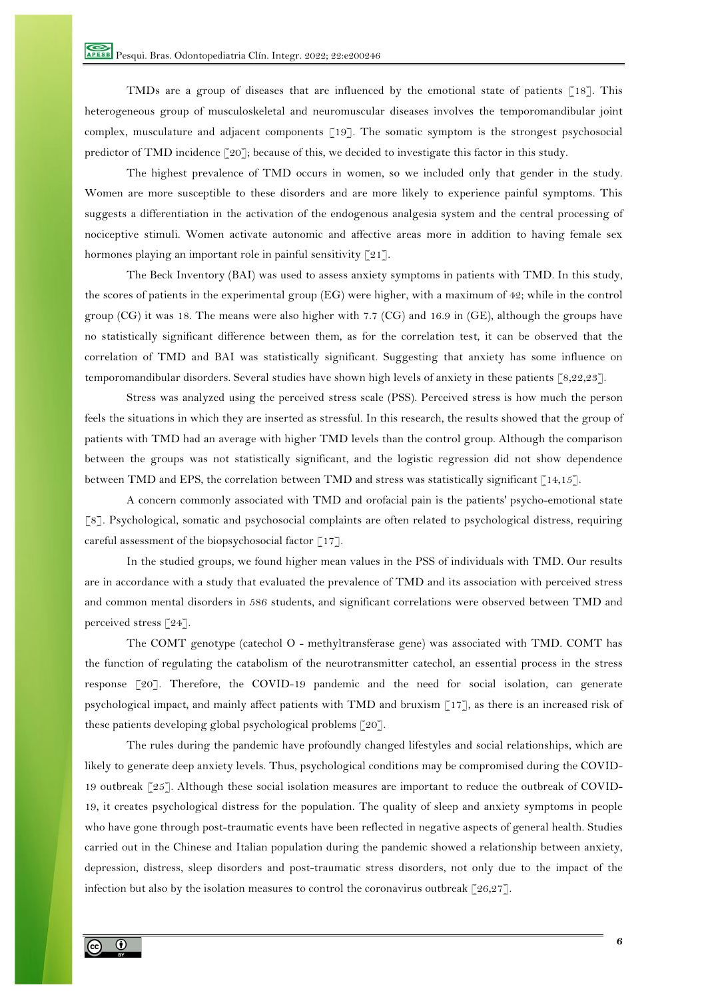TMDs are a group of diseases that are influenced by the emotional state of patients  $\lceil 18 \rceil$ . This heterogeneous group of musculoskeletal and neuromuscular diseases involves the temporomandibular joint complex, musculature and adjacent components [19]. The somatic symptom is the strongest psychosocial predictor of TMD incidence [20]; because of this, we decided to investigate this factor in this study.

The highest prevalence of TMD occurs in women, so we included only that gender in the study. Women are more susceptible to these disorders and are more likely to experience painful symptoms. This suggests a differentiation in the activation of the endogenous analgesia system and the central processing of nociceptive stimuli. Women activate autonomic and affective areas more in addition to having female sex hormones playing an important role in painful sensitivity [21].

The Beck Inventory (BAI) was used to assess anxiety symptoms in patients with TMD. In this study, the scores of patients in the experimental group (EG) were higher, with a maximum of 42; while in the control group (CG) it was 18. The means were also higher with 7.7 (CG) and 16.9 in (GE), although the groups have no statistically significant difference between them, as for the correlation test, it can be observed that the correlation of TMD and BAI was statistically significant. Suggesting that anxiety has some influence on temporomandibular disorders. Several studies have shown high levels of anxiety in these patients [8,22,23].

Stress was analyzed using the perceived stress scale (PSS). Perceived stress is how much the person feels the situations in which they are inserted as stressful. In this research, the results showed that the group of patients with TMD had an average with higher TMD levels than the control group. Although the comparison between the groups was not statistically significant, and the logistic regression did not show dependence between TMD and EPS, the correlation between TMD and stress was statistically significant [14,15].

A concern commonly associated with TMD and orofacial pain is the patients' psycho-emotional state [8]. Psychological, somatic and psychosocial complaints are often related to psychological distress, requiring careful assessment of the biopsychosocial factor  $\lceil 17 \rceil$ .

In the studied groups, we found higher mean values in the PSS of individuals with TMD. Our results are in accordance with a study that evaluated the prevalence of TMD and its association with perceived stress and common mental disorders in 586 students, and significant correlations were observed between TMD and perceived stress [24].

The COMT genotype (catechol O - methyltransferase gene) was associated with TMD. COMT has the function of regulating the catabolism of the neurotransmitter catechol, an essential process in the stress response [20]. Therefore, the COVID-19 pandemic and the need for social isolation, can generate psychological impact, and mainly affect patients with TMD and bruxism [17], as there is an increased risk of these patients developing global psychological problems [20].

The rules during the pandemic have profoundly changed lifestyles and social relationships, which are likely to generate deep anxiety levels. Thus, psychological conditions may be compromised during the COVID-19 outbreak [25]. Although these social isolation measures are important to reduce the outbreak of COVID-19, it creates psychological distress for the population. The quality of sleep and anxiety symptoms in people who have gone through post-traumatic events have been reflected in negative aspects of general health. Studies carried out in the Chinese and Italian population during the pandemic showed a relationship between anxiety, depression, distress, sleep disorders and post-traumatic stress disorders, not only due to the impact of the infection but also by the isolation measures to control the coronavirus outbreak  $\lceil 26,27 \rceil$ .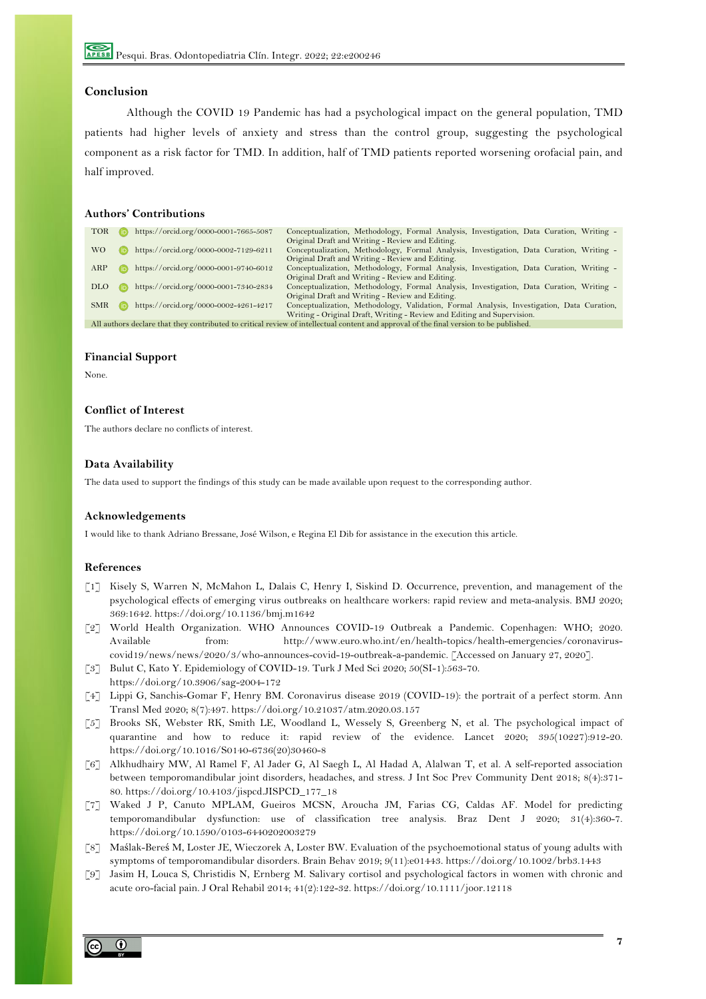# **Conclusion**

Although the COVID 19 Pandemic has had a psychological impact on the general population, TMD patients had higher levels of anxiety and stress than the control group, suggesting the psychological component as a risk factor for TMD. In addition, half of TMD patients reported worsening orofacial pain, and half improved.

# **Authors' Contributions**

| <b>TOR</b>                                                                                                                              |      | https://orcid.org/0000-0001-7665-5087 | Conceptualization, Methodology, Formal Analysis, Investigation, Data Curation, Writing -   |  |  |
|-----------------------------------------------------------------------------------------------------------------------------------------|------|---------------------------------------|--------------------------------------------------------------------------------------------|--|--|
|                                                                                                                                         |      |                                       | Original Draft and Writing - Review and Editing.                                           |  |  |
| WO.                                                                                                                                     |      | https://orcid.org/0000-0002-7129-6211 | Conceptualization, Methodology, Formal Analysis, Investigation, Data Curation, Writing -   |  |  |
|                                                                                                                                         |      |                                       | Original Draft and Writing - Review and Editing.                                           |  |  |
| ARP                                                                                                                                     |      | https://orcid.org/0000-0001-9740-6012 | Conceptualization, Methodology, Formal Analysis, Investigation, Data Curation, Writing -   |  |  |
|                                                                                                                                         |      |                                       | Original Draft and Writing - Review and Editing.                                           |  |  |
| DLO.                                                                                                                                    |      | https://orcid.org/0000-0001-7340-2834 | Conceptualization, Methodology, Formal Analysis, Investigation, Data Curation, Writing -   |  |  |
|                                                                                                                                         |      |                                       | Original Draft and Writing - Review and Editing.                                           |  |  |
| <b>SMR</b>                                                                                                                              | (ib) | https://orcid.org/0000-0002-4261-4217 | Conceptualization, Methodology, Validation, Formal Analysis, Investigation, Data Curation, |  |  |
|                                                                                                                                         |      |                                       | Writing - Original Draft, Writing - Review and Editing and Supervision.                    |  |  |
| All authors declare that they contributed to critical review of intellectual content and approval of the final version to be published. |      |                                       |                                                                                            |  |  |

# **Financial Support**

None.

# **Conflict of Interest**

The authors declare no conflicts of interest.

## **Data Availability**

The data used to support the findings of this study can be made available upon request to the corresponding author.

### **Acknowledgements**

I would like to thank Adriano Bressane, José Wilson, e Regina El Dib for assistance in the execution this article.

## **References**

- [1] Kisely S, Warren N, McMahon L, Dalais C, Henry I, Siskind D. Occurrence, prevention, and management of the psychological effects of emerging virus outbreaks on healthcare workers: rapid review and meta-analysis. BMJ 2020; 369:1642. https://doi.org/10.1136/bmj.m1642
- [2] World Health Organization. WHO Announces COVID-19 Outbreak a Pandemic. Copenhagen: WHO; 2020. Available from: http://www.euro.who.int/en/health-topics/health-emergencies/coronaviruscovid19/news/news/2020/3/who-announces-covid-19-outbreak-a-pandemic. [Accessed on January 27, 2020].
- [3] Bulut C, Kato Y. Epidemiology of COVID-19. Turk J Med Sci 2020; 50(SI-1):563-70. https://doi.org/10.3906/sag-2004-172
- [4] Lippi G, Sanchis-Gomar F, Henry BM. Coronavirus disease 2019 (COVID-19): the portrait of a perfect storm. Ann Transl Med 2020; 8(7):497. https://doi.org/10.21037/atm.2020.03.157
- [5] Brooks SK, Webster RK, Smith LE, Woodland L, Wessely S, Greenberg N, et al. The psychological impact of quarantine and how to reduce it: rapid review of the evidence. Lancet 2020; 395(10227):912-20. https://doi.org/10.1016/S0140-6736(20)30460-8
- [6] Alkhudhairy MW, Al Ramel F, Al Jader G, Al Saegh L, Al Hadad A, Alalwan T, et al. A self-reported association between temporomandibular joint disorders, headaches, and stress. J Int Soc Prev Community Dent 2018; 8(4):371- 80. https://doi.org/10.4103/jispcd.JISPCD\_177\_18
- [7] Waked J P, Canuto MPLAM, Gueiros MCSN, Aroucha JM, Farias CG, Caldas AF. Model for predicting temporomandibular dysfunction: use of classification tree analysis. Braz Dent J 2020; 31(4):360-7. https://doi.org/10.1590/0103-6440202003279
- [8] Maślak-Bereś M, Loster JE, Wieczorek A, Loster BW. Evaluation of the psychoemotional status of young adults with symptoms of temporomandibular disorders. Brain Behav 2019; 9(11):e01443. https://doi.org/10.1002/brb3.1443
- [9] Jasim H, Louca S, Christidis N, Ernberg M. Salivary cortisol and psychological factors in women with chronic and acute oro-facial pain. J Oral Rehabil 2014; 41(2):122-32. https://doi.org/10.1111/joor.12118